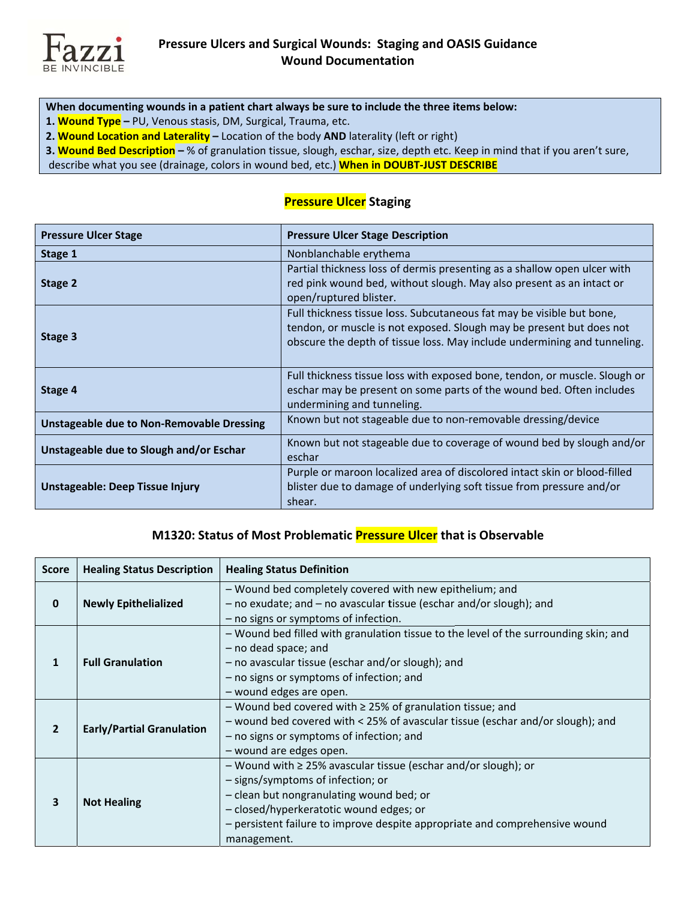

- When documenting wounds in a patient chart always be sure to include the three items below:
- 1. Wound Type PU, Venous stasis, DM, Surgical, Trauma, etc.
- 2. Wound Location and Laterality Location of the body AND laterality (left or right)

3. Wound Bed Description - % of granulation tissue, slough, eschar, size, depth etc. Keep in mind that if you aren't sure,

describe what you see (drainage, colors in wound bed, etc.) When in DOUBT-JUST DESCRIBE

## **Pressure Ulcer Staging**

| <b>Pressure Ulcer Stage</b>                      | <b>Pressure Ulcer Stage Description</b>                                                                                                                                                                                   |
|--------------------------------------------------|---------------------------------------------------------------------------------------------------------------------------------------------------------------------------------------------------------------------------|
| Stage 1                                          | Nonblanchable erythema                                                                                                                                                                                                    |
| Stage 2                                          | Partial thickness loss of dermis presenting as a shallow open ulcer with<br>red pink wound bed, without slough. May also present as an intact or<br>open/ruptured blister.                                                |
| Stage 3                                          | Full thickness tissue loss. Subcutaneous fat may be visible but bone,<br>tendon, or muscle is not exposed. Slough may be present but does not<br>obscure the depth of tissue loss. May include undermining and tunneling. |
| Stage 4                                          | Full thickness tissue loss with exposed bone, tendon, or muscle. Slough or<br>eschar may be present on some parts of the wound bed. Often includes<br>undermining and tunneling.                                          |
| <b>Unstageable due to Non-Removable Dressing</b> | Known but not stageable due to non-removable dressing/device                                                                                                                                                              |
| Unstageable due to Slough and/or Eschar          | Known but not stageable due to coverage of wound bed by slough and/or<br>eschar                                                                                                                                           |
| Unstageable: Deep Tissue Injury                  | Purple or maroon localized area of discolored intact skin or blood-filled<br>blister due to damage of underlying soft tissue from pressure and/or<br>shear.                                                               |

## M1320: Status of Most Problematic Pressure Ulcer that is Observable

| <b>Score</b>            | <b>Healing Status Description</b> | <b>Healing Status Definition</b>                                                                                                                                                                                                                                                                |
|-------------------------|-----------------------------------|-------------------------------------------------------------------------------------------------------------------------------------------------------------------------------------------------------------------------------------------------------------------------------------------------|
| $\mathbf{0}$            | <b>Newly Epithelialized</b>       | - Wound bed completely covered with new epithelium; and<br>- no exudate; and - no avascular tissue (eschar and/or slough); and<br>- no signs or symptoms of infection.                                                                                                                          |
| 1                       | <b>Full Granulation</b>           | - Wound bed filled with granulation tissue to the level of the surrounding skin; and<br>- no dead space; and<br>- no avascular tissue (eschar and/or slough); and<br>- no signs or symptoms of infection; and<br>- wound edges are open.                                                        |
| $\overline{\mathbf{z}}$ | <b>Early/Partial Granulation</b>  | - Wound bed covered with $\geq$ 25% of granulation tissue; and<br>- wound bed covered with < 25% of avascular tissue (eschar and/or slough); and<br>- no signs or symptoms of infection; and<br>- wound are edges open.                                                                         |
| 3                       | <b>Not Healing</b>                | $-$ Wound with $\geq$ 25% avascular tissue (eschar and/or slough); or<br>- signs/symptoms of infection; or<br>- clean but nongranulating wound bed; or<br>- closed/hyperkeratotic wound edges; or<br>- persistent failure to improve despite appropriate and comprehensive wound<br>management. |